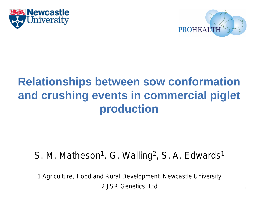



# **Relationships between sow conformation and crushing events in commercial piglet production**

#### S. M. Matheson<sup>1</sup>, G. Walling<sup>2</sup>, S. A. Edwards<sup>1</sup>

1 Agriculture, Food and Rural Development, Newcastle University 2 JSR Genetics, Ltd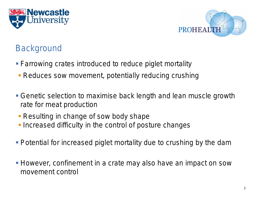



#### **Background**

- **Farrowing crates introduced to reduce piglet mortality**
- **Reduces sow movement, potentially reducing crushing**
- Genetic selection to maximise back length and lean muscle growth rate for meat production
- **Resulting in change of sow body shape**
- **Increased difficulty in the control of posture changes**
- **Potential for increased piglet mortality due to crushing by the dam**
- **However, confinement in a crate may also have an impact on sow** movement control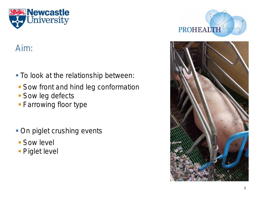

#### Aim:

- **To look at the relationship between:**
- **Sow front and hind leg conformation**
- **Sow leg defects**
- **Farrowing floor type**
- **On piglet crushing events**
- **Sow level**
- **Piglet level**



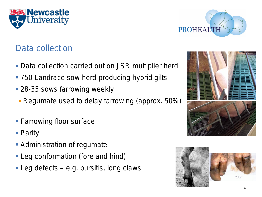



#### Data collection

- **Data collection carried out on JSR multiplier herd**
- 750 Landrace sow herd producing hybrid gilts
- **28-35 sows farrowing weekly**
- **Regumate used to delay farrowing (approx. 50%)**
- **Farrowing floor surface**
- Parity
- **Administration of regumate**
- **Leg conformation (fore and hind)**
- **Leg defects e.g. bursitis, long claws**



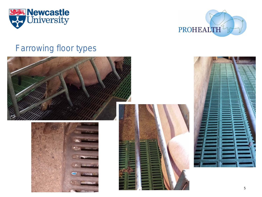



#### Farrowing floor types

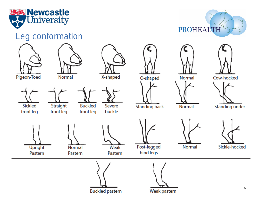

#### Leg conformation



PROHEALTH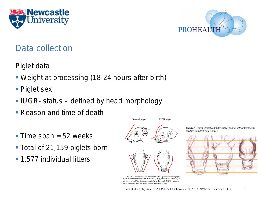



#### Data collection

- Piglet data
- Weight at processing (18-24 hours after birth)
- Piglet sex
- **IUGR- status defined by head morphology**
- **Reason and time of death**
- Time span  $=$  52 weeks
- Total of 21,159 piglets born
- **1,577 individual litters**



**Normal** piglet

**IUGR** piglet



Figure 2. Illustrations of a normal (left) and a growth-restricted piglet (right). Criteria for growth restriction were 1) steep, dolphin-like forehead, 2) bulging eyes, and 3) wrinkles perpendicular to the mouth.  $IUGR = intrauter$ ine growth restriction. See online version for figure in color.

Figure 1: Dorso-ventral characteristics of normal (left), intermediate (middle) and IUGR (right) piglets

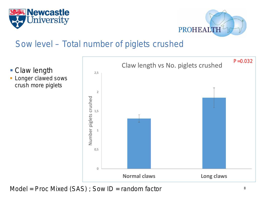



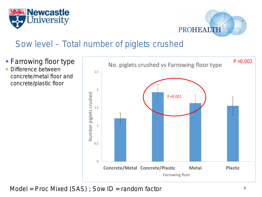



- **Farrowing floor type**  Difference between
	- concrete/metal floor and concrete/plastic floor

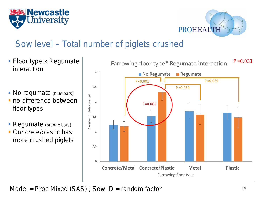



- Floor type x Regumate interaction
- No regumate (blue bars)
- no difference between floor types
- Regumate (orange bars)
- Concrete/plastic has more crushed piglets

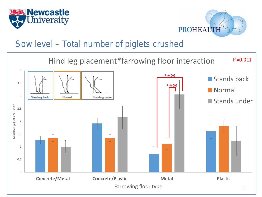



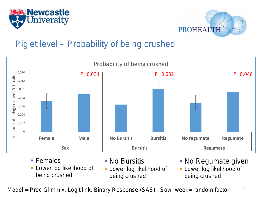



#### Piglet level – Probability of being crushed



■ Females

- No Bursitis
- **Lower log likelihood of** being crushed
- **Lower log likelihood of** being crushed
- **No Regumate given**
- **Lower log likelihood of** being crushed

Model = Proc Glimmix, Logit link, Binary Response (SAS) ; Sow\_week= random factor  $12$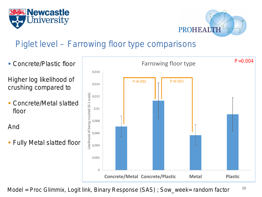



#### Piglet level – Farrowing floor type comparisons



Model = Proc Glimmix, Logit link, Binary Response (SAS) ; Sow\_week= random factor  $13$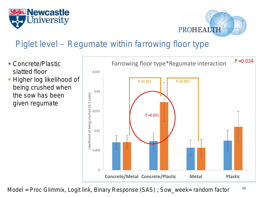



### Piglet level – Regumate within farrowing floor type

- Concrete/Plastic slatted floor
- Higher log likelihood of being crushed when the sow has been given regumate



Model = Proc Glimmix, Logit link, Binary Response (SAS) ; Sow\_week= random factor  $14$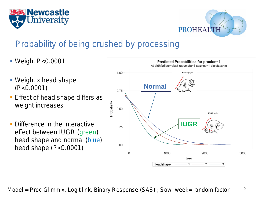



#### Probability of being crushed by processing

- Weight P<0.0001
- Weight x head shape (P<0.0001)
- **Effect of head shape differs as** weight increases
- **Difference in the interactive** effect between IUGR (green) head shape and normal (blue) head shape (P<0.0001)

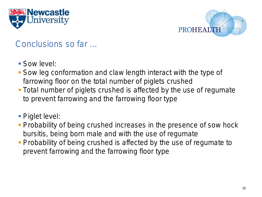



#### Conclusions so far …

- Sow level:
- Sow leg conformation and claw length interact with the type of farrowing floor on the total number of piglets crushed
- Total number of piglets crushed is affected by the use of regumate to prevent farrowing and the farrowing floor type
- Piglet level:
- **Probability of being crushed increases in the presence of sow hock** bursitis, being born male and with the use of regumate
- **Probability of being crushed is affected by the use of regumate to** prevent farrowing and the farrowing floor type